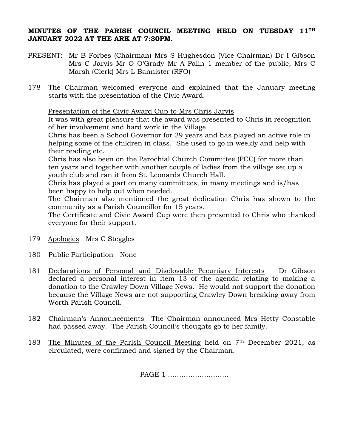## **MINUTES OF THE PARISH COUNCIL MEETING HELD ON TUESDAY 11TH JANUARY 2022 AT THE ARK AT 7:30PM.**

- PRESENT: Mr B Forbes (Chairman) Mrs S Hughesdon (Vice Chairman) Dr I Gibson Mrs C Jarvis Mr O O'Grady Mr A Palin 1 member of the public, Mrs C Marsh (Clerk) Mrs L Bannister (RFO)
- 178 The Chairman welcomed everyone and explained that the January meeting starts with the presentation of the Civic Award.

Presentation of the Civic Award Cup to Mrs Chris Jarvis

It was with great pleasure that the award was presented to Chris in recognition of her involvement and hard work in the Village.

Chris has been a School Governor for 29 years and has played an active role in helping some of the children in class. She used to go in weekly and help with their reading etc.

Chris has also been on the Parochial Church Committee (PCC) for more than ten years and together with another couple of ladies from the village set up a youth club and ran it from St. Leonards Church Hall.

Chris has played a part on many committees, in many meetings and is/has been happy to help out when needed.

The Chairman also mentioned the great dedication Chris has shown to the community as a Parish Councillor for 15 years.

The Certificate and Civic Award Cup were then presented to Chris who thanked everyone for their support.

- 179 Apologies Mrs C Steggles
- 180 Public Participation None
- 181 Declarations of Personal and Disclosable Pecuniary Interests Dr Gibson declared a personal interest in item 13 of the agenda relating to making a donation to the Crawley Down Village News. He would not support the donation because the Village News are not supporting Crawley Down breaking away from Worth Parish Council.
- 182 Chairman's Announcements The Chairman announced Mrs Hetty Constable had passed away. The Parish Council's thoughts go to her family.
- 183 The Minutes of the Parish Council Meeting held on 7th December 2021, as circulated, were confirmed and signed by the Chairman.

PAGE 1 ………………………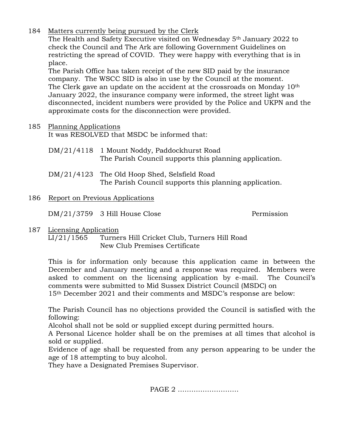184 Matters currently being pursued by the Clerk

The Health and Safety Executive visited on Wednesday 5th January 2022 to check the Council and The Ark are following Government Guidelines on restricting the spread of COVID. They were happy with everything that is in place.

The Parish Office has taken receipt of the new SID paid by the insurance company. The WSCC SID is also in use by the Council at the moment. The Clerk gave an update on the accident at the crossroads on Monday 10<sup>th</sup> January 2022, the insurance company were informed, the street light was disconnected, incident numbers were provided by the Police and UKPN and the approximate costs for the disconnection were provided.

## 185 Planning Applications

It was RESOLVED that MSDC be informed that:

- DM/21/4118 1 Mount Noddy, Paddockhurst Road The Parish Council supports this planning application.
- DM/21/4123 The Old Hoop Shed, Selsfield Road The Parish Council supports this planning application.

## 186 Report on Previous Applications

DM/21/3759 3 Hill House Close Permission

187 Licensing Application

LI/21/1565 Turners Hill Cricket Club, Turners Hill Road New Club Premises Certificate

This is for information only because this application came in between the December and January meeting and a response was required. Members were asked to comment on the licensing application by e-mail. The Council's comments were submitted to Mid Sussex District Council (MSDC) on 15th December 2021 and their comments and MSDC's response are below:

The Parish Council has no objections provided the Council is satisfied with the following:

Alcohol shall not be sold or supplied except during permitted hours.

A Personal Licence holder shall be on the premises at all times that alcohol is sold or supplied.

Evidence of age shall be requested from any person appearing to be under the age of 18 attempting to buy alcohol.

They have a Designated Premises Supervisor.

PAGE 2 ………………………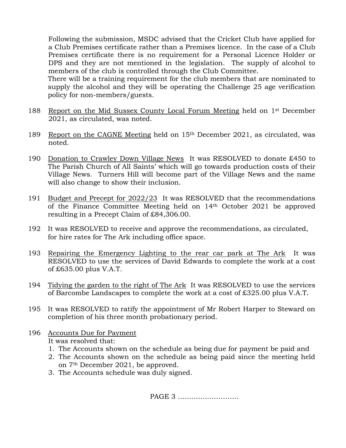Following the submission, MSDC advised that the Cricket Club have applied for a Club Premises certificate rather than a Premises licence. In the case of a Club Premises certificate there is no requirement for a Personal Licence Holder or DPS and they are not mentioned in the legislation. The supply of alcohol to members of the club is controlled through the Club Committee.

There will be a training requirement for the club members that are nominated to supply the alcohol and they will be operating the Challenge 25 age verification policy for non-members/guests.

- 188 Report on the Mid Sussex County Local Forum Meeting held on 1st December 2021, as circulated, was noted.
- 189 Report on the CAGNE Meeting held on 15th December 2021, as circulated, was noted.
- 190 Donation to Crawley Down Village News It was RESOLVED to donate £450 to The Parish Church of All Saints' which will go towards production costs of their Village News. Turners Hill will become part of the Village News and the name will also change to show their inclusion.
- 191 Budget and Precept for 2022/23 It was RESOLVED that the recommendations of the Finance Committee Meeting held on 14th October 2021 be approved resulting in a Precept Claim of £84,306.00.
- 192 It was RESOLVED to receive and approve the recommendations, as circulated, for hire rates for The Ark including office space.
- 193 Repairing the Emergency Lighting to the rear car park at The Ark It was RESOLVED to use the services of David Edwards to complete the work at a cost of £635.00 plus V.A.T.
- 194 Tidying the garden to the right of The Ark It was RESOLVED to use the services of Barcombe Landscapes to complete the work at a cost of £325.00 plus V.A.T.
- 195 It was RESOLVED to ratify the appointment of Mr Robert Harper to Steward on completion of his three month probationary period.

## 196 Accounts Due for Payment It was resolved that:

- 1. The Accounts shown on the schedule as being due for payment be paid and
- 2. The Accounts shown on the schedule as being paid since the meeting held on 7th December 2021, be approved.
- 3. The Accounts schedule was duly signed.

PAGE 3 ………………………